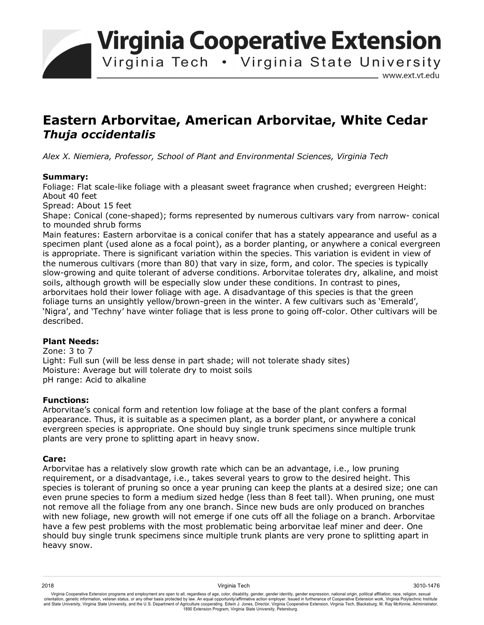**Virginia Cooperative Extension** 

Virginia Tech . Virginia State University

www.ext.vt.edu

# **Eastern Arborvitae, American Arborvitae, White Cedar**  *Thuja occidentalis*

*Alex X. Niemiera, Professor, School of Plant and Environmental Sciences, Virginia Tech* 

## **Summary:**

Foliage: Flat scale-like foliage with a pleasant sweet fragrance when crushed; evergreen Height: About 40 feet

Spread: About 15 feet

Shape: Conical (cone-shaped); forms represented by numerous cultivars vary from narrow- conical to mounded shrub forms

Main features: Eastern arborvitae is a conical conifer that has a stately appearance and useful as a specimen plant (used alone as a focal point), as a border planting, or anywhere a conical evergreen is appropriate. There is significant variation within the species. This variation is evident in view of the numerous cultivars (more than 80) that vary in size, form, and color. The species is typically slow-growing and quite tolerant of adverse conditions. Arborvitae tolerates dry, alkaline, and moist soils, although growth will be especially slow under these conditions. In contrast to pines, arborvitaes hold their lower foliage with age. A disadvantage of this species is that the green foliage turns an unsightly yellow/brown-green in the winter. A few cultivars such as 'Emerald', 'Nigra', and 'Techny' have winter foliage that is less prone to going off-color. Other cultivars will be described.

## **Plant Needs:**

Zone: 3 to 7 Light: Full sun (will be less dense in part shade; will not tolerate shady sites) Moisture: Average but will tolerate dry to moist soils pH range: Acid to alkaline

## **Functions:**

Arborvitae's conical form and retention low foliage at the base of the plant confers a formal appearance. Thus, it is suitable as a specimen plant, as a border plant, or anywhere a conical evergreen species is appropriate. One should buy single trunk specimens since multiple trunk plants are very prone to splitting apart in heavy snow.

#### **Care:**

Arborvitae has a relatively slow growth rate which can be an advantage, i.e., low pruning requirement, or a disadvantage, i.e., takes several years to grow to the desired height. This species is tolerant of pruning so once a year pruning can keep the plants at a desired size; one can even prune species to form a medium sized hedge (less than 8 feet tall). When pruning, one must not remove all the foliage from any one branch. Since new buds are only produced on branches with new foliage, new growth will not emerge if one cuts off all the foliage on a branch. Arborvitae have a few pest problems with the most problematic being arborvitae leaf miner and deer. One should buy single trunk specimens since multiple trunk plants are very prone to splitting apart in heavy snow.